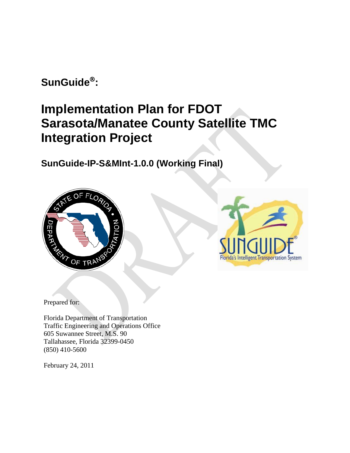**SunGuide :** 

# **Implementation Plan for FDOT Sarasota/Manatee County Satellite TMC Integration Project**

**SunGuide-IP-S&MInt-1.0.0 (Working Final)**





Prepared for:

Florida Department of Transportation Traffic Engineering and Operations Office 605 Suwannee Street, M.S. 90 Tallahassee, Florida 32399-0450 (850) 410-5600

February 24, 2011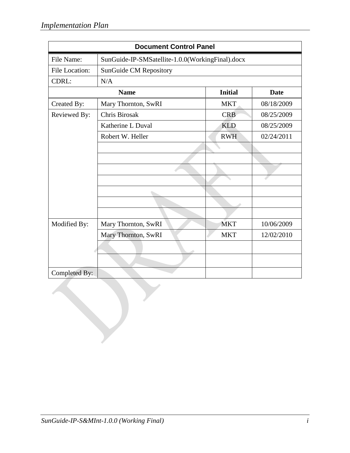| <b>Document Control Panel</b> |                                                  |                |             |
|-------------------------------|--------------------------------------------------|----------------|-------------|
| File Name:                    | SunGuide-IP-SMSatellite-1.0.0(WorkingFinal).docx |                |             |
| File Location:                | <b>SunGuide CM Repository</b>                    |                |             |
| CDRL:                         | N/A                                              |                |             |
|                               | <b>Name</b>                                      | <b>Initial</b> | <b>Date</b> |
| Created By:                   | Mary Thornton, SwRI                              | <b>MKT</b>     | 08/18/2009  |
| Reviewed By:                  | Chris Birosak                                    | <b>CRB</b>     | 08/25/2009  |
|                               | Katherine L Duval                                | <b>KLD</b>     | 08/25/2009  |
|                               | Robert W. Heller                                 | <b>RWH</b>     | 02/24/2011  |
|                               |                                                  |                |             |
|                               |                                                  |                |             |
|                               |                                                  |                |             |
|                               |                                                  |                |             |
|                               |                                                  |                |             |
|                               |                                                  |                |             |
|                               |                                                  |                |             |
| Modified By:                  | Mary Thornton, SwRI                              | <b>MKT</b>     | 10/06/2009  |
|                               | Mary Thornton, SwRI                              | <b>MKT</b>     | 12/02/2010  |
|                               |                                                  |                |             |
|                               |                                                  |                |             |
|                               |                                                  |                |             |
| Completed By:                 |                                                  |                |             |
|                               |                                                  |                |             |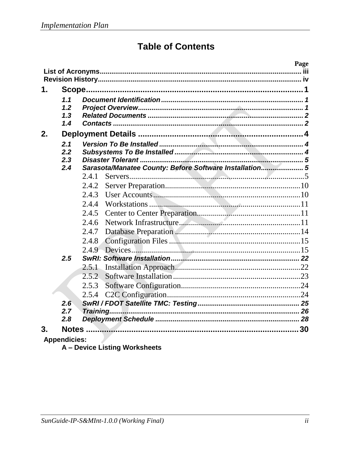# **Table of Contents**

|    |                          |                                                         | Page |
|----|--------------------------|---------------------------------------------------------|------|
|    |                          |                                                         |      |
| 1. |                          |                                                         |      |
|    | 1.1<br>1.2<br>1.3<br>1.4 |                                                         |      |
| 2. |                          |                                                         |      |
|    | 2.1<br>2.2<br>2.3<br>2.4 | Sarasota/Manatee County: Before Software Installation 5 |      |
|    |                          | 2.4.1                                                   |      |
|    |                          | 2.4.2                                                   |      |
|    |                          | 2.4.3                                                   |      |
|    |                          | 2.4.4                                                   |      |
|    |                          | 2.4.5                                                   |      |
|    |                          | 2.4.6                                                   |      |
|    |                          | 2.4.7                                                   |      |
|    |                          | 2.4.8                                                   |      |
|    |                          | 2.4.9                                                   |      |
|    | 2.5                      |                                                         |      |
|    |                          | 2.5.1                                                   |      |
|    |                          | 2.5.2                                                   |      |
|    |                          | 2.5.3                                                   |      |
|    |                          | 2.5.4                                                   |      |
|    | $2.\overline{6}$         |                                                         |      |
|    | 2.7                      |                                                         |      |
|    | 2.8                      |                                                         |      |
| 3. | Notes.                   |                                                         |      |
|    | <b>Appendicies:</b>      |                                                         |      |

A - Device Listing Worksheets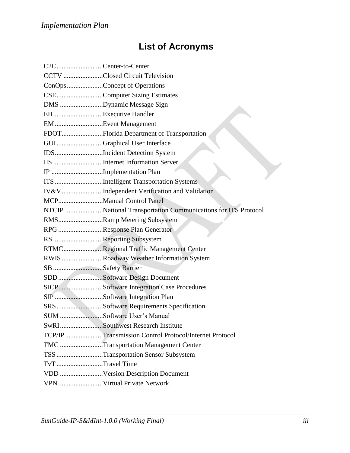# **List of Acronyms**

| C2CCenter-to-Center |                                                               |
|---------------------|---------------------------------------------------------------|
|                     | CCTV Closed Circuit Television                                |
|                     | ConOpsConcept of Operations                                   |
|                     | CSEComputer Sizing Estimates                                  |
|                     | DMS Dynamic Message Sign                                      |
| EHExecutive Handler |                                                               |
|                     | EM Event Management                                           |
|                     |                                                               |
|                     | GUIGraphical User Interface                                   |
|                     | IDSIncident Detection System                                  |
|                     | IIS Internet Information Server                               |
|                     | IP Implementation Plan                                        |
|                     | ITS Intelligent Transportation Systems                        |
|                     | IV&VIndependent Verification and Validation                   |
|                     | MCPManual Control Panel                                       |
|                     | NTCIP National Transportation Communications for ITS Protocol |
|                     | RMSRamp Metering Subsystem                                    |
|                     | RPG Response Plan Generator                                   |
|                     | RS Reporting Subsystem                                        |
|                     | RTMCRegional Traffic Management Center                        |
|                     | RWIS Roadway Weather Information System                       |
| SB Safety Barrier   |                                                               |
|                     |                                                               |
|                     | SICPSoftware Integration Case Procedures                      |
|                     | SIP Software Integration Plan                                 |
|                     | SRSSoftware Requirements Specification                        |
|                     | SUM Software User's Manual                                    |
|                     | SwRISouthwest Research Institute                              |
|                     | TCP/IP Transmission Control Protocol/Internet Protocol        |
|                     | TMC Transportation Management Center                          |
|                     | TSS Transportation Sensor Subsystem                           |
| TvT Travel Time     |                                                               |
|                     | VDD Version Description Document                              |
|                     | VPN Virtual Private Network                                   |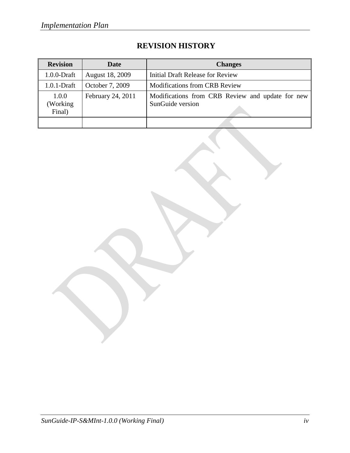| <b>Revision</b>              | Date                   | <b>Changes</b>                                                       |
|------------------------------|------------------------|----------------------------------------------------------------------|
| $1.0.0$ -Draft               | <b>August 18, 2009</b> | <b>Initial Draft Release for Review</b>                              |
| $1.0.1$ -Draft               | October 7, 2009        | <b>Modifications from CRB Review</b>                                 |
| 1.0.0<br>(Working)<br>Final) | February 24, 2011      | Modifications from CRB Review and update for new<br>SunGuide version |
|                              |                        |                                                                      |

# **REVISION HISTORY**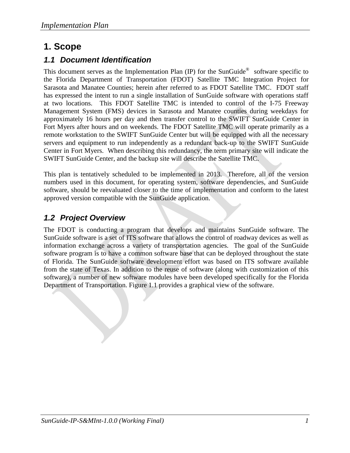# <span id="page-5-0"></span>**1. Scope**

# <span id="page-5-1"></span>*1.1 Document Identification*

This document serves as the Implementation Plan (IP) for the SunGuide<sup>®</sup> software specific to the Florida Department of Transportation (FDOT) Satellite TMC Integration Project for Sarasota and Manatee Counties; herein after referred to as FDOT Satellite TMC. FDOT staff has expressed the intent to run a single installation of SunGuide software with operations staff at two locations. This FDOT Satellite TMC is intended to control of the I-75 Freeway Management System (FMS) devices in Sarasota and Manatee counties during weekdays for approximately 16 hours per day and then transfer control to the SWIFT SunGuide Center in Fort Myers after hours and on weekends. The FDOT Satellite TMC will operate primarily as a remote workstation to the SWIFT SunGuide Center but will be equipped with all the necessary servers and equipment to run independently as a redundant back-up to the SWIFT SunGuide Center in Fort Myers. When describing this redundancy, the term primary site will indicate the SWIFT SunGuide Center, and the backup site will describe the Satellite TMC.

This plan is tentatively scheduled to be implemented in 2013. Therefore, all of the version numbers used in this document, for operating system, software dependencies, and SunGuide software, should be reevaluated closer to the time of implementation and conform to the latest approved version compatible with the SunGuide application.

# <span id="page-5-2"></span>*1.2 Project Overview*

The FDOT is conducting a program that develops and maintains SunGuide software. The SunGuide software is a set of ITS software that allows the control of roadway devices as well as information exchange across a variety of transportation agencies. The goal of the SunGuide software program is to have a common software base that can be deployed throughout the state of Florida. The SunGuide software development effort was based on ITS software available from the state of Texas. In addition to the reuse of software (along with customization of this software), a number of new software modules have been developed specifically for the Florida Department of Transportation. Figure 1.1 provides a graphical view of the software.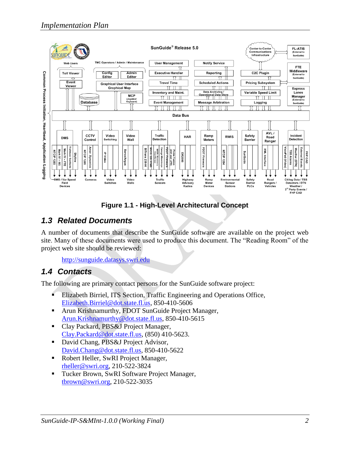

**Figure 1.1 - High-Level Architectural Concept**

# <span id="page-6-0"></span>*1.3 Related Documents*

A number of documents that describe the SunGuide software are available on the project web site. Many of these documents were used to produce this document. The "Reading Room" of the project web site should be reviewed:

[http://sunguide.datasys.swri.edu](http://sunguide.datasys.swri.edu/)

# <span id="page-6-1"></span>*1.4 Contacts*

The following are primary contact persons for the SunGuide software project:

- **Elizabeth Birriel, ITS Section, Traffic Engineering and Operations Office,** [Elizabeth.Birriel@dot.state.fl.us,](mailto:Elizabeth.Birriel@dot.state.fl.us) 850-410-5606
- **Arun Krishnamurthy, FDOT SunGuide Project Manager,** [Arun.Krishnamurthy@dot.state.fl.us,](mailto:Arun.Krishnamurthy@dot.state.fl.us) 850-410-5615
- Clay Packard, PBS&J Project Manager, [Clay.Packard@dot.state.fl.us,](mailto:Clay.Packard@dot.state.fl.us) (850) 410-5623.
- David Chang, PBS&J Project Advisor, [David.Chang@dot.state.fl.us,](mailto:David.Chang@dot.state.fl.us) 850-410-5622
- [Robert Heller,](mailto:rheller@swri.org) SwRI Project Manager, [rheller@swri.org,](mailto:rheller@swri.org) 210-522-3824
- Tucker Brown, SwRI Software Project Manager, [tbrown@swri.org,](mailto:tbrown@swri.org) 210-522-3035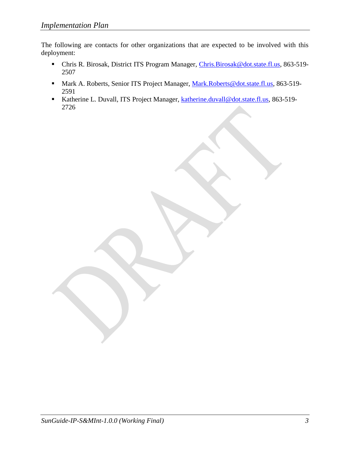The following are contacts for other organizations that are expected to be involved with this deployment:

- Chris R. Birosak, District ITS Program Manager, [Chris.Birosak@dot.state.fl.us,](mailto:Chris.Birosak@dot.state.fl.us) 863-519- 2507
- Mark A. Roberts, Senior ITS Project Manager, [Mark.Roberts@dot.state.fl.us,](mailto:Mark.Roberts@dot.state.fl.us) 863-519-2591
- Katherine L. Duvall, ITS Project Manager, [katherine.duvall@dot.state.fl.us,](mailto:katherine.duvall@dot.state.fl.us) 863-519-2726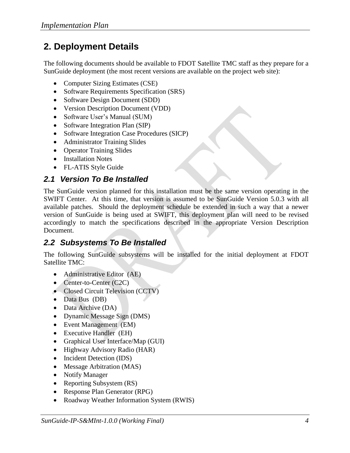# <span id="page-8-0"></span>**2. Deployment Details**

The following documents should be available to FDOT Satellite TMC staff as they prepare for a SunGuide deployment (the most recent versions are available on the project web site):

- Computer Sizing Estimates (CSE)
- Software Requirements Specification (SRS)
- Software Design Document (SDD)
- Version Description Document (VDD)
- Software User's Manual (SUM)
- Software Integration Plan (SIP)
- Software Integration Case Procedures (SICP)
- Administrator Training Slides
- Operator Training Slides
- Installation Notes
- FL-ATIS Style Guide

# <span id="page-8-1"></span>*2.1 Version To Be Installed*

The SunGuide version planned for this installation must be the same version operating in the SWIFT Center. At this time, that version is assumed to be SunGuide Version 5.0.3 with all available patches. Should the deployment schedule be extended in such a way that a newer version of SunGuide is being used at SWIFT, this deployment plan will need to be revised accordingly to match the specifications described in the appropriate Version Description Document.

# <span id="page-8-2"></span>*2.2 Subsystems To Be Installed*

The following SunGuide subsystems will be installed for the initial deployment at FDOT Satellite TMC:

- Administrative Editor (AE)
- Center-to-Center (C2C)
- Closed Circuit Television (CCTV)
- $\bullet$  Data Bus (DB)
- Data Archive (DA)
- Dynamic Message Sign (DMS)
- Event Management (EM)
- Executive Handler (EH)
- Graphical User Interface/Map (GUI)
- Highway Advisory Radio (HAR)
- Incident Detection (IDS)
- Message Arbitration (MAS)
- Notify Manager
- Reporting Subsystem (RS)
- Response Plan Generator (RPG)
- Roadway Weather Information System (RWIS)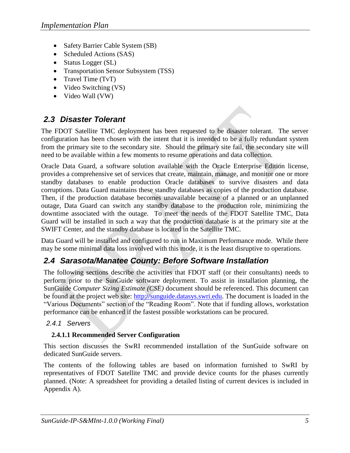- Safety Barrier Cable System (SB)
- Scheduled Actions (SAS)
- Status Logger (SL)
- Transportation Sensor Subsystem (TSS)
- Travel Time  $(TvT)$
- Video Switching (VS)
- Video Wall (VW)

# <span id="page-9-0"></span>*2.3 Disaster Tolerant*

The FDOT Satellite TMC deployment has been requested to be disaster tolerant. The server configuration has been chosen with the intent that it is intended to be a fully redundant system from the primary site to the secondary site. Should the primary site fail, the secondary site will need to be available within a few moments to resume operations and data collection.

Oracle Data Guard, a software solution available with the Oracle Enterprise Edition license, provides a comprehensive set of services that create, maintain, manage, and monitor one or more standby databases to enable production Oracle databases to survive disasters and data corruptions. Data Guard maintains these standby databases as copies of the production database. Then, if the production database becomes unavailable because of a planned or an unplanned outage, Data Guard can switch any standby database to the production role, minimizing the downtime associated with the outage. To meet the needs of the FDOT Satellite TMC, Data Guard will be installed in such a way that the production database is at the primary site at the SWIFT Center, and the standby database is located in the Satellite TMC.

Data Guard will be installed and configured to run in Maximum Performance mode. While there may be some minimal data loss involved with this mode, it is the least disruptive to operations.

# <span id="page-9-1"></span>*2.4 Sarasota/Manatee County: Before Software Installation*

The following sections describe the activities that FDOT staff (or their consultants) needs to perform prior to the SunGuide software deployment. To assist in installation planning, the SunGuide *Computer Sizing Estimate (CSE)* document should be referenced. This document can be found at the project web site: [http://sunguide.datasys.swri.edu.](http://sunguide.datasys.swri.edu/) The document is loaded in the "Various Documents" section of the "Reading Room". Note that if funding allows, workstation performance can be enhanced if the fastest possible workstations can be procured.

### <span id="page-9-2"></span>*2.4.1 Servers*

### **2.4.1.1 Recommended Server Configuration**

This section discusses the SwRI recommended installation of the SunGuide software on dedicated SunGuide servers.

The contents of the following tables are based on information furnished to SwRI by representatives of FDOT Satellite TMC and provide device counts for the phases currently planned. (Note: A spreadsheet for providing a detailed listing of current devices is included in Appendix A).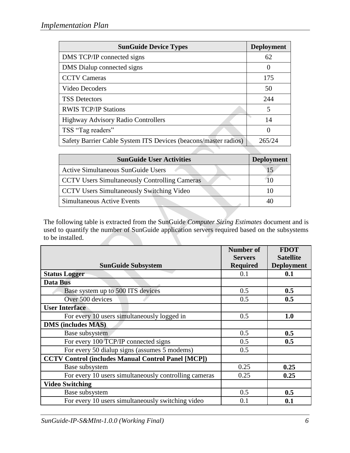| <b>SunGuide Device Types</b>                                    | <b>Deployment</b>        |
|-----------------------------------------------------------------|--------------------------|
| DMS TCP/IP connected signs                                      | 62                       |
| DMS Dialup connected signs                                      |                          |
| <b>CCTV Cameras</b>                                             | 175                      |
| Video Decoders                                                  | 50                       |
| <b>TSS Detectors</b>                                            | 244                      |
| <b>RWIS TCP/IP Stations</b>                                     | $\overline{\mathcal{L}}$ |
| <b>Highway Advisory Radio Controllers</b>                       | 14                       |
| TSS "Tag readers"                                               | $\theta$                 |
| Safety Barrier Cable System ITS Devices (beacons/master radios) | 265/24                   |

| <b>SunGuide User Activities</b>                      | <b>Deployment</b> |
|------------------------------------------------------|-------------------|
| <b>Active Simultaneous SunGuide Users</b>            |                   |
| <b>CCTV Users Simultaneously Controlling Cameras</b> |                   |
| <b>CCTV Users Simultaneously Switching Video</b>     |                   |
| Simultaneous Active Events                           |                   |

The following table is extracted from the SunGuide *Computer Sizing Estimates* document and is used to quantify the number of SunGuide application servers required based on the subsystems to be installed.

|                                                           | <b>Number of</b><br><b>Servers</b> | <b>FDOT</b><br><b>Satellite</b> |
|-----------------------------------------------------------|------------------------------------|---------------------------------|
| <b>SunGuide Subsystem</b>                                 | <b>Required</b>                    | <b>Deployment</b>               |
| <b>Status Logger</b>                                      | 0.1                                | 0.1                             |
| Data Bus                                                  |                                    |                                 |
| Base system up to 500 ITS devices                         | 0.5                                | 0.5                             |
| Over 500 devices                                          | 0.5                                | 0.5                             |
| <b>User Interface</b>                                     |                                    |                                 |
| For every 10 users simultaneously logged in               | 0.5                                | 1.0                             |
| <b>DMS</b> (includes MAS)                                 |                                    |                                 |
| Base subsystem                                            | 0.5                                | 0.5                             |
| For every 100 TCP/IP connected signs                      | 0.5                                | 0.5                             |
| For every 50 dialup signs (assumes 5 modems)              | 0.5                                |                                 |
| <b>CCTV Control (includes Manual Control Panel [MCP])</b> |                                    |                                 |
| Base subsystem                                            | 0.25                               | 0.25                            |
| For every 10 users simultaneously controlling cameras     | 0.25                               | 0.25                            |
| <b>Video Switching</b>                                    |                                    |                                 |
| Base subsystem                                            | 0.5                                | 0.5                             |
| For every 10 users simultaneously switching video         | 0.1                                | 0.1                             |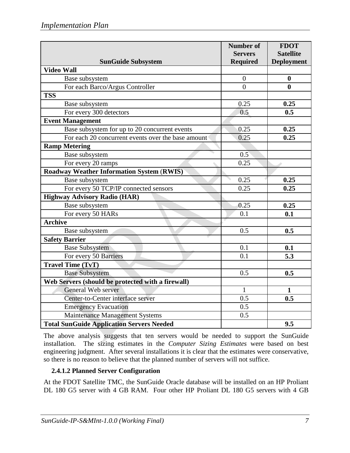|                                                    | <b>Number of</b>                  | <b>FDOT</b>                           |
|----------------------------------------------------|-----------------------------------|---------------------------------------|
| <b>SunGuide Subsystem</b>                          | <b>Servers</b><br><b>Required</b> | <b>Satellite</b><br><b>Deployment</b> |
| <b>Video Wall</b>                                  |                                   |                                       |
| Base subsystem                                     | $\overline{0}$                    | $\boldsymbol{0}$                      |
| For each Barco/Argus Controller                    | $\theta$                          | $\bf{0}$                              |
| <b>TSS</b>                                         |                                   |                                       |
| Base subsystem                                     | 0.25                              | 0.25                                  |
| For every 300 detectors                            | 0.5                               | 0.5                                   |
| <b>Event Management</b>                            |                                   |                                       |
| Base subsystem for up to 20 concurrent events      | 0.25                              | 0.25                                  |
| For each 20 concurrent events over the base amount | 0.25                              | 0.25                                  |
| <b>Ramp Metering</b>                               |                                   |                                       |
| Base subsystem                                     | 0.5                               |                                       |
| For every 20 ramps                                 | 0.25                              |                                       |
| <b>Roadway Weather Information System (RWIS)</b>   |                                   |                                       |
| Base subsystem                                     | 0.25                              | 0.25                                  |
| For every 50 TCP/IP connected sensors              | 0.25                              | 0.25                                  |
| <b>Highway Advisory Radio (HAR)</b>                |                                   |                                       |
| Base subsystem                                     | 0.25                              | 0.25                                  |
| For every 50 HARs                                  | 0.1                               | 0.1                                   |
| <b>Archive</b>                                     |                                   |                                       |
| Base subsystem                                     | 0.5                               | 0.5                                   |
| <b>Safety Barrier</b>                              |                                   |                                       |
| <b>Base Subsystem</b>                              | 0.1                               | 0.1                                   |
| For every 50 Barriers                              | 0.1                               | 5.3                                   |
| <b>Travel Time (TvT)</b>                           |                                   |                                       |
| <b>Base Subsystem</b>                              | 0.5                               | 0.5                                   |
| Web Servers (should be protected with a firewall)  |                                   |                                       |
| General Web server                                 | $\mathbf{1}$                      | $\mathbf{1}$                          |
| Center-to-Center interface server                  | 0.5                               | 0.5                                   |
| <b>Emergency Evacuation</b>                        | 0.5                               |                                       |
| Maintenance Management Systems                     | 0.5                               |                                       |
| <b>Total SunGuide Application Servers Needed</b>   |                                   | 9.5                                   |

The above analysis suggests that ten servers would be needed to support the SunGuide installation. The sizing estimates in the *Computer Sizing Estimates* were based on best engineering judgment. After several installations it is clear that the estimates were conservative, so there is no reason to believe that the planned number of servers will not suffice.

# **2.4.1.2 Planned Server Configuration**

At the FDOT Satellite TMC, the SunGuide Oracle database will be installed on an HP Proliant DL 180 G5 server with 4 GB RAM. Four other HP Proliant DL 180 G5 servers with 4 GB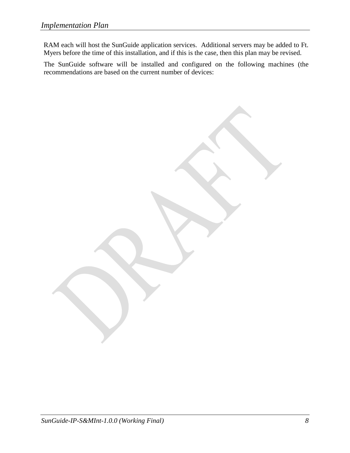RAM each will host the SunGuide application services. Additional servers may be added to Ft. Myers before the time of this installation, and if this is the case, then this plan may be revised.

The SunGuide software will be installed and configured on the following machines (the recommendations are based on the current number of devices:

*SunGuide-IP-S&MInt-1.0.0 (Working Final) 8*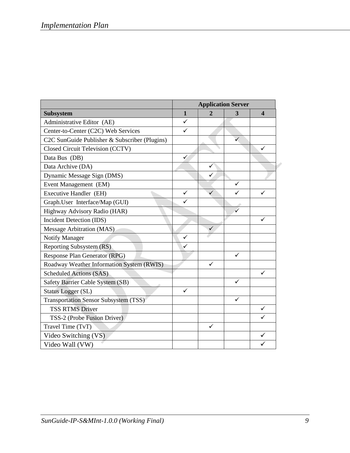| <b>Application Server</b>                     |              |                |              |                         |
|-----------------------------------------------|--------------|----------------|--------------|-------------------------|
| Subsystem                                     | $\mathbf{1}$ | $\overline{2}$ | 3            | $\overline{\mathbf{4}}$ |
| Administrative Editor (AE)                    | $\checkmark$ |                |              |                         |
| Center-to-Center (C2C) Web Services           | $\checkmark$ |                |              |                         |
| C2C SunGuide Publisher & Subscriber (Plugins) |              |                | $\checkmark$ |                         |
| Closed Circuit Television (CCTV)              |              |                |              | ✓                       |
| Data Bus (DB)                                 | $\checkmark$ |                |              |                         |
| Data Archive (DA)                             |              | ✓              |              |                         |
| Dynamic Message Sign (DMS)                    |              | ✓              |              |                         |
| Event Management (EM)                         |              |                | $\checkmark$ |                         |
| Executive Handler (EH)                        | ✓            | ✓              | $\checkmark$ | ✓                       |
| Graph.User Interface/Map (GUI)                | $\checkmark$ |                |              |                         |
| Highway Advisory Radio (HAR)                  |              |                | ✓            |                         |
| Incident Detection (IDS)                      |              |                |              | ✓                       |
| Message Arbitration (MAS)                     |              |                |              |                         |
| <b>Notify Manager</b>                         | ✓            |                |              |                         |
| Reporting Subsystem (RS)                      | ✓            |                |              |                         |
| Response Plan Generator (RPG)                 |              |                | ✓            |                         |
| Roadway Weather Information System (RWIS)     |              | ✓              |              |                         |
| Scheduled Actions (SAS)                       |              |                |              | ✓                       |
| Safety Barrier Cable System (SB)              |              |                | $\checkmark$ |                         |
| <b>Status Logger (SL)</b>                     | $\checkmark$ |                |              |                         |
| <b>Transportation Sensor Subsystem (TSS)</b>  |              |                | ✓            |                         |
| <b>TSS RTMS Driver</b>                        |              |                |              | $\checkmark$            |
| TSS-2 (Probe Fusion Driver)                   |              |                |              | ✓                       |
| Travel Time (TvT)                             |              | ✓              |              |                         |
| Video Switching (VS)                          |              |                |              | ✓                       |
| Video Wall (VW)                               |              |                |              |                         |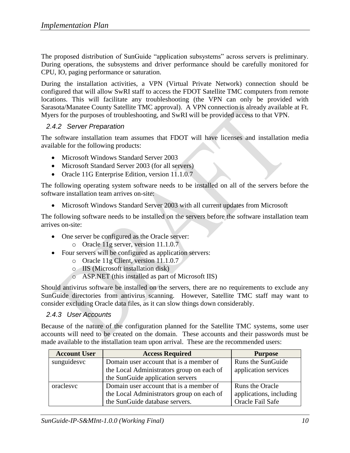The proposed distribution of SunGuide "application subsystems" across servers is preliminary. During operations, the subsystems and driver performance should be carefully monitored for CPU, IO, paging performance or saturation.

During the installation activities, a VPN (Virtual Private Network) connection should be configured that will allow SwRI staff to access the FDOT Satellite TMC computers from remote locations. This will facilitate any troubleshooting (the VPN can only be provided with Sarasota/Manatee County Satellite TMC approval). A VPN connection is already available at Ft. Myers for the purposes of troubleshooting, and SwRI will be provided access to that VPN.

### <span id="page-14-0"></span>*2.4.2 Server Preparation*

The software installation team assumes that FDOT will have licenses and installation media available for the following products:

- Microsoft Windows Standard Server 2003
- Microsoft Standard Server 2003 (for all servers)
- Oracle 11G Enterprise Edition, version 11.1.0.7

The following operating system software needs to be installed on all of the servers before the software installation team arrives on-site:

Microsoft Windows Standard Server 2003 with all current updates from Microsoft

The following software needs to be installed on the servers before the software installation team arrives on-site:

- One server be configured as the Oracle server:
	- o Oracle 11g server, version 11.1.0.7
- Four servers will be configured as application servers:
	- o Oracle 11g Client, version 11.1.0.7
	- o IIS (Microsoft installation disk)
	- o ASP.NET (this installed as part of Microsoft IIS)

Should antivirus software be installed on the servers, there are no requirements to exclude any SunGuide directories from antivirus scanning. However, Satellite TMC staff may want to consider excluding Oracle data files, as it can slow things down considerably.

### <span id="page-14-1"></span>*2.4.3 User Accounts*

Because of the nature of the configuration planned for the Satellite TMC systems, some user accounts will need to be created on the domain. These accounts and their passwords must be made available to the installation team upon arrival. These are the recommended users:

| <b>Account User</b> | <b>Access Required</b>                    | <b>Purpose</b>          |
|---------------------|-------------------------------------------|-------------------------|
| sunguidesvc         | Domain user account that is a member of   | Runs the SunGuide       |
|                     | the Local Administrators group on each of | application services    |
|                     | the SunGuide application servers          |                         |
| oraclesvc           | Domain user account that is a member of   | Runs the Oracle         |
|                     | the Local Administrators group on each of | applications, including |
|                     | the SunGuide database servers.            | Oracle Fail Safe        |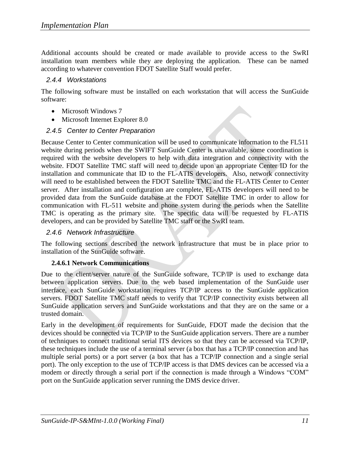Additional accounts should be created or made available to provide access to the SwRI installation team members while they are deploying the application. These can be named according to whatever convention FDOT Satellite Staff would prefer.

#### <span id="page-15-0"></span>*2.4.4 Workstations*

The following software must be installed on each workstation that will access the SunGuide software:

- Microsoft Windows 7
- Microsoft Internet Explorer 8.0

## <span id="page-15-1"></span>*2.4.5 Center to Center Preparation*

Because Center to Center communication will be used to communicate information to the FL511 website during periods when the SWIFT SunGuide Center is unavailable, some coordination is required with the website developers to help with data integration and connectivity with the website. FDOT Satellite TMC staff will need to decide upon an appropriate Center ID for the installation and communicate that ID to the FL-ATIS developers. Also, network connectivity will need to be established between the FDOT Satellite TMC and the FL-ATIS Center to Center server. After installation and configuration are complete, FL-ATIS developers will need to be provided data from the SunGuide database at the FDOT Satellite TMC in order to allow for communication with FL-511 website and phone system during the periods when the Satellite TMC is operating as the primary site. The specific data will be requested by FL-ATIS developers, and can be provided by Satellite TMC staff or the SwRI team.

### <span id="page-15-2"></span>*2.4.6 Network Infrastructure*

The following sections described the network infrastructure that must be in place prior to installation of the SunGuide software.

#### **2.4.6.1 Network Communications**

Due to the client/server nature of the SunGuide software, TCP/IP is used to exchange data between application servers. Due to the web based implementation of the SunGuide user interface, each SunGuide workstation requires TCP/IP access to the SunGuide application servers. FDOT Satellite TMC staff needs to verify that TCP/IP connectivity exists between all SunGuide application servers and SunGuide workstations and that they are on the same or a trusted domain.

Early in the development of requirements for SunGuide, FDOT made the decision that the devices should be connected via TCP/IP to the SunGuide application servers. There are a number of techniques to connect traditional serial ITS devices so that they can be accessed via TCP/IP, these techniques include the use of a terminal server (a box that has a TCP/IP connection and has multiple serial ports) or a port server (a box that has a TCP/IP connection and a single serial port). The only exception to the use of TCP/IP access is that DMS devices can be accessed via a modem or directly through a serial port if the connection is made through a Windows "COM" port on the SunGuide application server running the DMS device driver.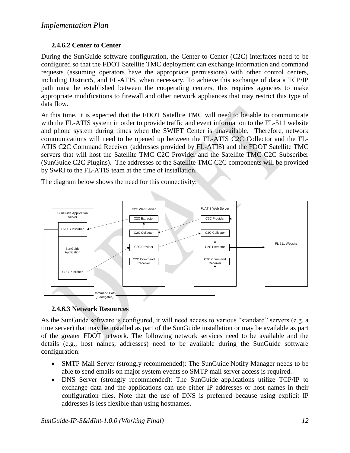# **2.4.6.2 Center to Center**

During the SunGuide software configuration, the Center-to-Center (C2C) interfaces need to be configured so that the FDOT Satellite TMC deployment can exchange information and command requests (assuming operators have the appropriate permissions) with other control centers, including District5, and FL-ATIS, when necessary. To achieve this exchange of data a TCP/IP path must be established between the cooperating centers, this requires agencies to make appropriate modifications to firewall and other network appliances that may restrict this type of data flow.

At this time, it is expected that the FDOT Satellite TMC will need to be able to communicate with the FL-ATIS system in order to provide traffic and event information to the FL-511 website and phone system during times when the SWIFT Center is unavailable. Therefore, network communications will need to be opened up between the FL-ATIS C2C Collector and the FL-ATIS C2C Command Receiver (addresses provided by FL-ATIS) and the FDOT Satellite TMC servers that will host the Satellite TMC C2C Provider and the Satellite TMC C2C Subscriber (SunGuide C2C Plugins). The addresses of the Satellite TMC C2C components will be provided by SwRI to the FL-ATIS team at the time of installation.

The diagram below shows the need for this connectivity:



### **2.4.6.3 Network Resources**

As the SunGuide software is configured, it will need access to various "standard" servers (e.g. a time server) that may be installed as part of the SunGuide installation or may be available as part of the greater FDOT network. The following network services need to be available and the details (e.g., host names, addresses) need to be available during the SunGuide software configuration:

- SMTP Mail Server (strongly recommended): The SunGuide Notify Manager needs to be able to send emails on major system events so SMTP mail server access is required.
- DNS Server (strongly recommended): The SunGuide applications utilize TCP/IP to exchange data and the applications can use either IP addresses or host names in their configuration files. Note that the use of DNS is preferred because using explicit IP addresses is less flexible than using hostnames.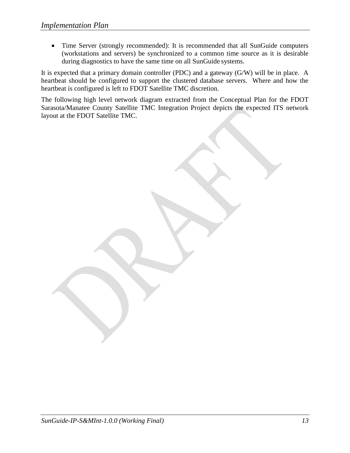Time Server (strongly recommended): It is recommended that all SunGuide computers (workstations and servers) be synchronized to a common time source as it is desirable during diagnostics to have the same time on all SunGuide systems.

It is expected that a primary domain controller (PDC) and a gateway (G/W) will be in place. A heartbeat should be configured to support the clustered database servers. Where and how the heartbeat is configured is left to FDOT Satellite TMC discretion.

The following high level network diagram extracted from the Conceptual Plan for the FDOT Sarasota/Manatee County Satellite TMC Integration Project depicts the expected ITS network layout at the FDOT Satellite TMC.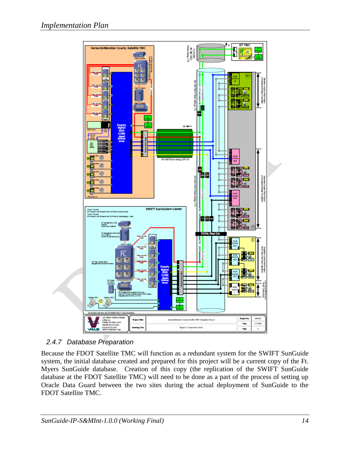

# <span id="page-18-0"></span>*2.4.7 Database Preparation*

Because the FDOT Satellite TMC will function as a redundant system for the SWIFT SunGuide system, the initial database created and prepared for this project will be a current copy of the Ft. Myers SunGuide database. Creation of this copy (the replication of the SWIFT SunGuide database at the FDOT Satellite TMC) will need to be done as a part of the process of setting up Oracle Data Guard between the two sites during the actual deployment of SunGuide to the FDOT Satellite TMC.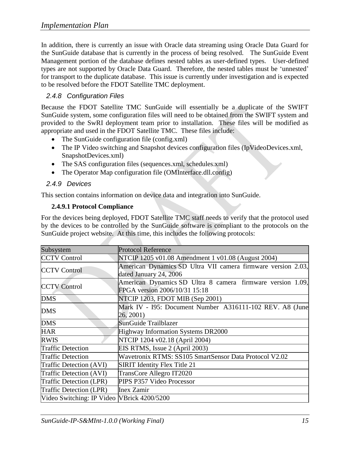In addition, there is currently an issue with Oracle data streaming using Oracle Data Guard for the SunGuide database that is currently in the process of being resolved. The SunGuide Event Management portion of the database defines nested tables as user-defined types. User-defined types are not supported by Oracle Data Guard. Therefore, the nested tables must be "unnested" for transport to the duplicate database. This issue is currently under investigation and is expected to be resolved before the FDOT Satellite TMC deployment.

# <span id="page-19-0"></span>*2.4.8 Configuration Files*

Because the FDOT Satellite TMC SunGuide will essentially be a duplicate of the SWIFT SunGuide system, some configuration files will need to be obtained from the SWIFT system and provided to the SwRI deployment team prior to installation. These files will be modified as appropriate and used in the FDOT Satellite TMC. These files include:

- The SunGuide configuration file (config.xml)
- The IP Video switching and Snapshot devices configuration files (IpVideoDevices.xml, SnapshotDevices.xml)
- The SAS configuration files (sequences.xml, schedules.xml)
- The Operator Map configuration file (OMInterface.dll.config)

### <span id="page-19-1"></span>*2.4.9 Devices*

This section contains information on device data and integration into SunGuide.

#### **2.4.9.1 Protocol Compliance**

For the devices being deployed, FDOT Satellite TMC staff needs to verify that the protocol used by the devices to be controlled by the SunGuide software is compliant to the protocols on the SunGuide project website. At this time, this includes the following protocols:

| Subsystem                                  | <b>Protocol Reference</b>                                    |
|--------------------------------------------|--------------------------------------------------------------|
| <b>CCTV Control</b>                        | NTCIP 1205 v01.08 Amendment 1 v01.08 (August 2004)           |
|                                            | American Dynamics SD Ultra VII camera firmware version 2.03, |
| <b>CCTV Control</b>                        | dated January 24, 2006                                       |
| <b>CCTV Control</b>                        | American Dynamics SD Ultra 8 camera firmware version 1.09,   |
|                                            | FPGA version 2006/10/31 15:18                                |
| <b>DMS</b>                                 | NTCIP 1203, FDOT MIB (Sep 2001)                              |
| <b>DMS</b>                                 | Mark IV - I95: Document Number A316111-102 REV. A8 (June     |
|                                            | 26, 2001)                                                    |
| <b>DMS</b>                                 | <b>SunGuide Trailblazer</b>                                  |
| <b>HAR</b>                                 | Highway Information Systems DR2000                           |
| <b>RWIS</b>                                | NTCIP 1204 v02.18 (April 2004)                               |
| <b>Traffic Detection</b>                   | EIS RTMS, Issue 2 (April 2003)                               |
| <b>Traffic Detection</b>                   | Wavetronix RTMS: SS105 SmartSensor Data Protocol V2.02       |
| Traffic Detection (AVI)                    | <b>SIRIT Identity Flex Title 21</b>                          |
| Traffic Detection (AVI)                    | TransCore Allegro IT2020                                     |
| Traffic Detection (LPR)                    | PIPS P357 Video Processor                                    |
| Traffic Detection (LPR)                    | <b>Inex Zamir</b>                                            |
| Video Switching: IP Video VBrick 4200/5200 |                                                              |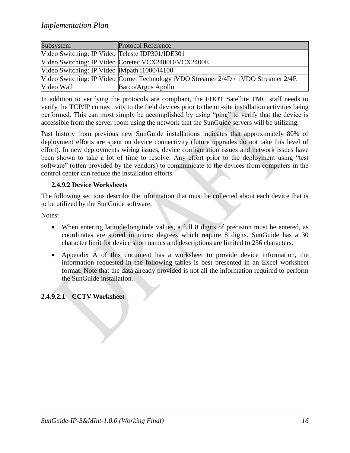| Subsystem                                       | <b>Protocol Reference</b>                                                           |
|-------------------------------------------------|-------------------------------------------------------------------------------------|
| Video Switching: IP Video Teleste IDP301/IDE301 |                                                                                     |
|                                                 | Video Switching: IP Video Coretec VCX2400D/VCX2400E                                 |
| Video Switching: IP Video  iMpath i1000/i4100   |                                                                                     |
|                                                 | Video Switching: IP Video Cornet Technology iVDO Streamer 2/4D / iVDO Streamer 2/4E |
| Video Wall                                      | Barco/Argus Apollo                                                                  |

In addition to verifying the protocols are compliant, the FDOT Satellite TMC staff needs to verify the TCP/IP connectivity to the field devices prior to the on-site installation activities being performed. This can most simply be accomplished by using "ping" to verify that the device is accessible from the server room using the network that the SunGuide servers will be utilizing.

Past history from previous new SunGuide installations indicates that approximately 80% of deployment efforts are spent on device connectivity (future upgrades do not take this level of effort). In new deployments wiring issues, device configuration issues and network issues have been shown to take a lot of time to resolve. Any effort prior to the deployment using "test software" (often provided by the vendors) to communicate to the devices from computers in the control center can reduce the installation efforts.

#### **2.4.9.2 Device Worksheets**

The following sections describe the information that must be collected about each device that is to be utilized by the SunGuide software.

Notes:

- When entering latitude/longitude values, a full 8 digits of precision must be entered, as coordinates are stored in micro degrees which require 8 digits. SunGuide has a 30 character limit for device short names and descriptions are limited to 256 characters.
- Appendix A of this document has a worksheet to provide device information, the information requested in the following tables is best presented in an Excel worksheet format. Note that the data already provided is not all the information required to perform the SunGuide installation.

# **2.4.9.2.1 CCTV Worksheet**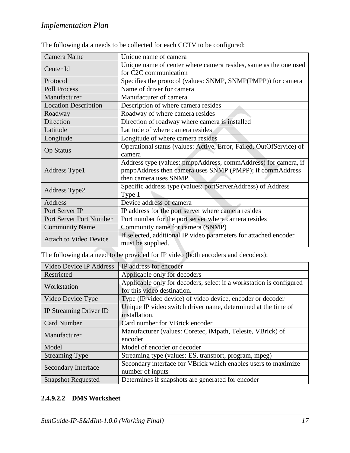| Camera Name                   | Unique name of camera                                               |
|-------------------------------|---------------------------------------------------------------------|
| Center Id                     | Unique name of center where camera resides, same as the one used    |
|                               | for C2C communication                                               |
| Protocol                      | Specifies the protocol (values: SNMP, SNMP(PMPP)) for camera        |
| <b>Poll Process</b>           | Name of driver for camera                                           |
| Manufacturer                  | Manufacturer of camera                                              |
| <b>Location Description</b>   | Description of where camera resides                                 |
| Roadway                       | Roadway of where camera resides                                     |
| Direction                     | Direction of roadway where camera is installed                      |
| Latitude                      | Latitude of where camera resides                                    |
| Longitude                     | Longitude of where camera resides                                   |
|                               | Operational status (values: Active, Error, Failed, OutOfService) of |
| <b>Op Status</b>              | camera                                                              |
|                               | Address type (values: pmppAddress, commAddress) for camera, if      |
| Address Type1                 | pmppAddress then camera uses SNMP (PMPP); if commAddress            |
|                               | then camera uses SNMP                                               |
| Address Type2                 | Specific address type (values: portServerAddress) of Address        |
|                               | Type 1                                                              |
| Address                       | Device address of camera                                            |
| Port Server IP                | IP address for the port server where camera resides                 |
| Port Server Port Number       | Port number for the port server where camera resides                |
| <b>Community Name</b>         | Community name for camera (SNMP)                                    |
| <b>Attach to Video Device</b> | If selected, additional IP video parameters for attached encoder    |
|                               | must be supplied.                                                   |

The following data needs to be collected for each CCTV to be configured:

The following data need to be provided for IP video (both encoders and decoders):

| Video Device IP Address       | IP address for encoder                                              |
|-------------------------------|---------------------------------------------------------------------|
| Restricted                    | Applicable only for decoders                                        |
| Workstation                   | Applicable only for decoders, select if a workstation is configured |
|                               | for this video destination.                                         |
| Video Device Type             | Type (IP video device) of video device, encoder or decoder          |
|                               | Unique IP video switch driver name, determined at the time of       |
| <b>IP Streaming Driver ID</b> | installation.                                                       |
| <b>Card Number</b>            | Card number for VBrick encoder                                      |
| Manufacturer                  | Manufacturer (values: Coretec, iMpath, Teleste, VBrick) of          |
|                               | encoder                                                             |
| Model                         | Model of encoder or decoder                                         |
| <b>Streaming Type</b>         | Streaming type (values: ES, transport, program, mpeg)               |
| Secondary Interface           | Secondary interface for VBrick which enables users to maximize      |
|                               | number of inputs                                                    |
| <b>Snapshot Requested</b>     | Determines if snapshots are generated for encoder                   |

### **2.4.9.2.2 DMS Worksheet**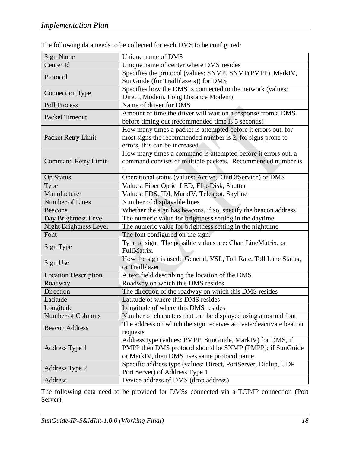| <b>Sign Name</b>              | Unique name of DMS                                                                   |
|-------------------------------|--------------------------------------------------------------------------------------|
| Center Id                     | Unique name of center where DMS resides                                              |
| Protocol                      | Specifies the protocol (values: SNMP, SNMP(PMPP), MarkIV,                            |
|                               | SunGuide (for Trailblazers)) for DMS                                                 |
|                               | Specifies how the DMS is connected to the network (values:                           |
| <b>Connection Type</b>        | Direct, Modem, Long Distance Modem)                                                  |
| <b>Poll Process</b>           | Name of driver for DMS                                                               |
| <b>Packet Timeout</b>         | Amount of time the driver will wait on a response from a DMS                         |
|                               | before timing out (recommended time is 5 seconds)                                    |
|                               | How many times a packet is attempted before it errors out, for                       |
| Packet Retry Limit            | most signs the recommended number is 2, for signs prone to                           |
|                               | errors, this can be increased                                                        |
|                               | How many times a command is attempted before it errors out, a                        |
| <b>Command Retry Limit</b>    | command consists of multiple packets. Recommended number is                          |
|                               | 1                                                                                    |
| <b>Op Status</b>              | Operational status (values: Active, OutOfService) of DMS                             |
| Type                          | Values: Fiber Optic, LED, Flip-Disk, Shutter                                         |
| Manufacturer                  | Values: FDS, IDI, MarkIV, Telespot, Skyline                                          |
| Number of Lines               | Number of displayable lines                                                          |
| <b>Beacons</b>                | Whether the sign has beacons, if so, specify the beacon address                      |
| Day Brightness Level          | The numeric value for brightness setting in the daytime                              |
| <b>Night Brightness Level</b> | The numeric value for brightness setting in the nighttime                            |
| Font                          | The font configured on the sign.                                                     |
| Sign Type                     | Type of sign. The possible values are: Char, LineMatrix, or                          |
|                               | FullMatrix.                                                                          |
| Sign Use                      | How the sign is used: General, VSL, Toll Rate, Toll Lane Status,                     |
|                               | or Trailblazer                                                                       |
| <b>Location Description</b>   | A text field describing the location of the DMS<br>Roadway on which this DMS resides |
| Roadway                       |                                                                                      |
| Direction<br>Latitude         | The direction of the roadway on which this DMS resides                               |
|                               | Latitude of where this DMS resides                                                   |
| Longitude                     | Longitude of where this DMS resides                                                  |
| Number of Columns             | Number of characters that can be displayed using a normal font                       |
| <b>Beacon Address</b>         | The address on which the sign receives activate/deactivate beacon<br>requests        |
|                               | Address type (values: PMPP, SunGuide, MarkIV) for DMS, if                            |
| Address Type 1                | PMPP then DMS protocol should be SNMP (PMPP); if SunGuide                            |
|                               | or MarkIV, then DMS uses same protocol name                                          |
|                               | Specific address type (values: Direct, PortServer, Dialup, UDP                       |
| Address Type 2                | Port Server) of Address Type 1                                                       |
| Address                       | Device address of DMS (drop address)                                                 |

The following data needs to be collected for each DMS to be configured:

The following data need to be provided for DMSs connected via a TCP/IP connection (Port Server):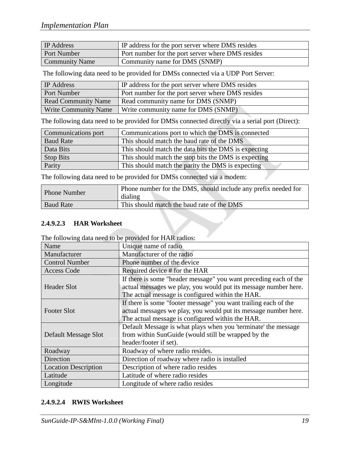| <b>IP</b> Address     | IP address for the port server where DMS resides  |
|-----------------------|---------------------------------------------------|
| Port Number           | Port number for the port server where DMS resides |
| <b>Community Name</b> | Community name for DMS (SNMP)                     |

The following data need to be provided for DMSs connected via a UDP Port Server:

| <b>IP</b> Address           | IP address for the port server where DMS resides  |
|-----------------------------|---------------------------------------------------|
| Port Number                 | Port number for the port server where DMS resides |
| <b>Read Community Name</b>  | Read community name for DMS (SNMP)                |
| <b>Write Community Name</b> | Write community name for DMS (SNMP)               |

The following data need to be provided for DMSs connected directly via a serial port (Direct):

| Communications port | Communications port to which the DMS is connected    |
|---------------------|------------------------------------------------------|
| <b>Baud Rate</b>    | This should match the baud rate of the DMS           |
| Data Bits           | This should match the data bits the DMS is expecting |
| <b>Stop Bits</b>    | This should match the stop bits the DMS is expecting |
| Parity              | This should match the parity the DMS is expecting    |

The following data need to be provided for DMSs connected via a modem:

| <b>Phone Number</b> | Phone number for the DMS, should include any prefix needed for<br>dialing |
|---------------------|---------------------------------------------------------------------------|
| <b>Baud Rate</b>    | This should match the baud rate of the DMS                                |

#### **2.4.9.2.3 HAR Worksheet**

The following data need to be provided for HAR radios:

| Name                        | Unique name of radio                                                                                                                |
|-----------------------------|-------------------------------------------------------------------------------------------------------------------------------------|
| Manufacturer                | Manufacturer of the radio                                                                                                           |
| <b>Control Number</b>       | Phone number of the device                                                                                                          |
| <b>Access Code</b>          | Required device # for the HAR                                                                                                       |
| <b>Header Slot</b>          | If there is some "header message" you want preceding each of the<br>actual messages we play, you would put its message number here. |
|                             | The actual message is configured within the HAR.                                                                                    |
| <b>Footer Slot</b>          | If there is some "footer message" you want trailing each of the                                                                     |
|                             | actual messages we play, you would put its message number here.<br>The actual message is configured within the HAR.                 |
| Default Message Slot        | Default Message is what plays when you 'terminate' the message                                                                      |
|                             | from within SunGuide (would still be wrapped by the                                                                                 |
|                             | header/footer if set).                                                                                                              |
| Roadway                     | Roadway of where radio resides.                                                                                                     |
| Direction                   | Direction of roadway where radio is installed                                                                                       |
| <b>Location Description</b> | Description of where radio resides                                                                                                  |
| Latitude                    | Latitude of where radio resides                                                                                                     |
| Longitude                   | Longitude of where radio resides                                                                                                    |

#### **2.4.9.2.4 RWIS Worksheet**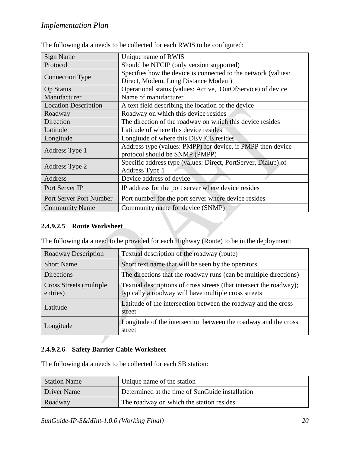| <b>Sign Name</b>            | Unique name of RWIS                                           |
|-----------------------------|---------------------------------------------------------------|
| Protocol                    | Should be NTCIP (only version supported)                      |
| <b>Connection Type</b>      | Specifies how the device is connected to the network (values: |
|                             | Direct, Modem, Long Distance Modem)                           |
| <b>Op Status</b>            | Operational status (values: Active, OutOfService) of device   |
| Manufacturer                | Name of manufacturer                                          |
| <b>Location Description</b> | A text field describing the location of the device            |
| Roadway                     | Roadway on which this device resides                          |
| Direction                   | The direction of the roadway on which this device resides     |
| Latitude                    | Latitude of where this device resides                         |
| Longitude                   | Longitude of where this DEVICE resides                        |
|                             | Address type (values: PMPP) for device, if PMPP then device   |
| Address Type 1              | protocol should be SNMP (PMPP)                                |
| Address Type 2              | Specific address type (values: Direct, PortServer, Dialup) of |
|                             | Address Type 1                                                |
| Address                     | Device address of device                                      |
| Port Server IP              | IP address for the port server where device resides           |
| Port Server Port Number     | Port number for the port server where device resides          |
| <b>Community Name</b>       | Community name for device (SNMP)                              |

The following data needs to be collected for each RWIS to be configured:

#### **2.4.9.2.5 Route Worksheet**

The following data need to be provided for each Highway (Route) to be in the deployment:

| <b>Roadway Description</b>           | Textual description of the roadway (route)                                                                                  |
|--------------------------------------|-----------------------------------------------------------------------------------------------------------------------------|
| <b>Short Name</b>                    | Short text name that will be seen by the operators                                                                          |
| <b>Directions</b>                    | The directions that the roadway runs (can be multiple directions)                                                           |
| Cross Streets (multiple)<br>entries) | Textual descriptions of cross streets (that intersect the roadway);<br>typically a roadway will have multiple cross streets |
| Latitude                             | Latitude of the intersection between the roadway and the cross<br>street                                                    |
| Longitude                            | Longitude of the intersection between the roadway and the cross<br>street                                                   |

### **2.4.9.2.6 Safety Barrier Cable Worksheet**

The following data needs to be collected for each SB station:

| <b>Station Name</b> | Unique name of the station                      |
|---------------------|-------------------------------------------------|
| Driver Name         | Determined at the time of SunGuide installation |
| Roadway             | The roadway on which the station resides        |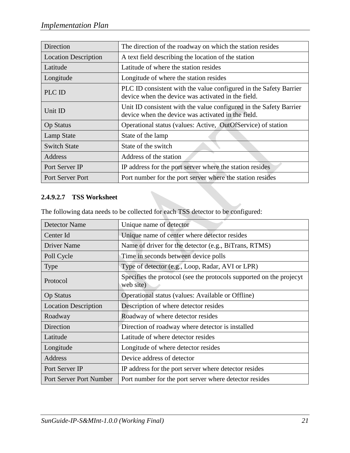| Direction                   | The direction of the roadway on which the station resides                                                                |
|-----------------------------|--------------------------------------------------------------------------------------------------------------------------|
| <b>Location Description</b> | A text field describing the location of the station                                                                      |
| Latitude                    | Latitude of where the station resides                                                                                    |
| Longitude                   | Longitude of where the station resides                                                                                   |
| PLC ID                      | PLC ID consistent with the value configured in the Safety Barrier<br>device when the device was activated in the field.  |
| Unit ID                     | Unit ID consistent with the value configured in the Safety Barrier<br>device when the device was activated in the field. |
| <b>Op Status</b>            | Operational status (values: Active, OutOfService) of station                                                             |
| Lamp State                  | State of the lamp                                                                                                        |
| <b>Switch State</b>         | State of the switch                                                                                                      |
| Address                     | Address of the station                                                                                                   |
| Port Server IP              | IP address for the port server where the station resides                                                                 |
| <b>Port Server Port</b>     | Port number for the port server where the station resides                                                                |

## **2.4.9.2.7 TSS Worksheet**

The following data needs to be collected for each TSS detector to be configured:

| <b>Detector Name</b>        | Unique name of detector                                                          |
|-----------------------------|----------------------------------------------------------------------------------|
| Center Id                   | Unique name of center where detector resides                                     |
| <b>Driver Name</b>          | Name of driver for the detector (e.g., BiTrans, RTMS)                            |
| Poll Cycle                  | Time in seconds between device polls                                             |
| <b>Type</b>                 | Type of detector (e.g., Loop, Radar, AVI or LPR)                                 |
| Protocol                    | Specifies the protocol (see the protocols supported on the projecyt<br>web site) |
| <b>Op Status</b>            | Operational status (values: Available or Offline)                                |
| <b>Location Description</b> | Description of where detector resides                                            |
| Roadway                     | Roadway of where detector resides                                                |
| Direction                   | Direction of roadway where detector is installed                                 |
| Latitude                    | Latitude of where detector resides                                               |
| Longitude                   | Longitude of where detector resides                                              |
| <b>Address</b>              | Device address of detector                                                       |
| Port Server IP              | IP address for the port server where detector resides                            |
| Port Server Port Number     | Port number for the port server where detector resides                           |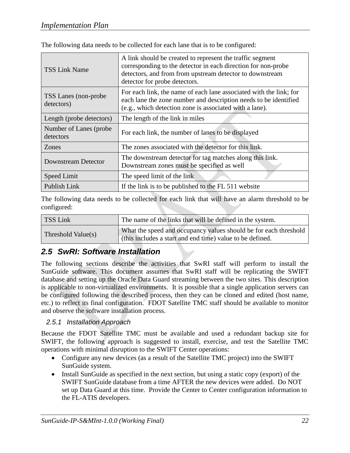| <b>TSS Link Name</b>                 | A link should be created to represent the traffic segment<br>corresponding to the detector in each direction for non-probe<br>detectors, and from from upstream detector to downstream<br>detector for probe detectors. |
|--------------------------------------|-------------------------------------------------------------------------------------------------------------------------------------------------------------------------------------------------------------------------|
| TSS Lanes (non-probe)<br>detectors)  | For each link, the name of each lane associated with the link; for<br>each lane the zone number and description needs to be identified<br>(e.g., which detection zone is associated with a lane).                       |
| Length (probe detectors)             | The length of the link in miles                                                                                                                                                                                         |
| Number of Lanes (probe)<br>detectors | For each link, the number of lanes to be displayed                                                                                                                                                                      |
| Zones                                | The zones associated with the detector for this link.                                                                                                                                                                   |
| Downstream Detector                  | The downstream detector for tag matches along this link.<br>Downstream zones must be specified as well                                                                                                                  |
| Speed Limit                          | The speed limit of the link                                                                                                                                                                                             |
| Publish Link                         | If the link is to be published to the FL 511 website                                                                                                                                                                    |

The following data needs to be collected for each lane that is to be configured:

The following data needs to be collected for each link that will have an alarm threshold to be configured:

| TSS Link           | The name of the links that will be defined in the system.                                                                     |
|--------------------|-------------------------------------------------------------------------------------------------------------------------------|
| Threshold Value(s) | What the speed and occupancy values should be for each threshold<br>(this includes a start and end time) value to be defined. |

# <span id="page-26-0"></span>*2.5 SwRI: Software Installation*

The following sections describe the activities that SwRI staff will perform to install the SunGuide software. This document assumes that SwRI staff will be replicating the SWIFT database and setting up the Oracle Data Guard streaming between the two sites. This description is applicable to non-virtualized environments. It is possible that a single application servers can be configured following the described process, then they can be cloned and edited (host name, etc.) to reflect its final configuration. FDOT Satellite TMC staff should be available to monitor and observe the software installation process.

# <span id="page-26-1"></span>*2.5.1 Installation Approach*

Because the FDOT Satellite TMC must be available and used a redundant backup site for SWIFT, the following approach is suggested to install, exercise, and test the Satellite TMC operations with minimal disruption to the SWIFT Center operations:

- Configure any new devices (as a result of the Satellite TMC project) into the SWIFT SunGuide system.
- Install SunGuide as specified in the next section, but using a static copy (export) of the SWIFT SunGuide database from a time AFTER the new devices were added. Do NOT set up Data Guard at this time. Provide the Center to Center configuration information to the FL-ATIS developers.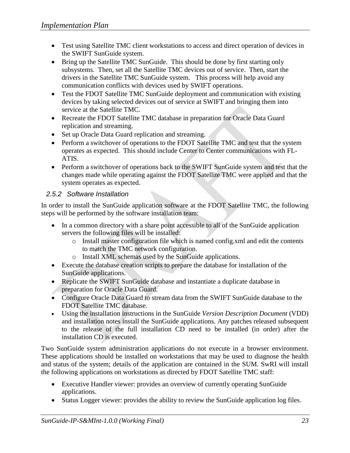- Test using Satellite TMC client workstations to access and direct operation of devices in the SWIFT SunGuide system.
- Bring up the Satellite TMC SunGuide. This should be done by first starting only subsystems. Then, set all the Satellite TMC devices out of service. Then, start the drivers in the Satellite TMC SunGuide system. This process will help avoid any communication conflicts with devices used by SWIFT operations.
- Test the FDOT Satellite TMC SunGuide deployment and communication with existing devices by taking selected devices out of service at SWIFT and bringing them into service at the Satellite TMC.
- Recreate the FDOT Satellite TMC database in preparation for Oracle Data Guard replication and streaming.
- Set up Oracle Data Guard replication and streaming.
- Perform a switchover of operations to the FDOT Satellite TMC and test that the system operates as expected. This should include Center to Center communications with FL-ATIS.
- Perform a switchover of operations back to the SWIFT SunGuide system and test that the changes made while operating against the FDOT Satellite TMC were applied and that the system operates as expected.

# <span id="page-27-0"></span>*2.5.2 Software Installation*

In order to install the SunGuide application software at the FDOT Satellite TMC, the following steps will be performed by the software installation team:

- In a common directory with a share point accessible to all of the SunGuide application servers the following files will be installed:
	- o Install master configuration file which is named config.xml and edit the contents to match the TMC network configuration.
	- o Install XML schemas used by the SunGuide applications.
- Execute the database creation scripts to prepare the database for installation of the SunGuide applications.
- Replicate the SWIFT SunGuide database and instantiate a duplicate database in preparation for Oracle Data Guard.
- Configure Oracle Data Guard to stream data from the SWIFT SunGuide database to the FDOT Satellite TMC database.
- Using the installation instructions in the SunGuide *Version Description Document* (VDD) and installation notes install the SunGuide applications. Any patches released subsequent to the release of the full installation CD need to be installed (in order) after the installation CD is executed.

Two SunGuide system administration applications do not execute in a browser environment. These applications should be installed on workstations that may be used to diagnose the health and status of the system; details of the application are contained in the SUM. SwRI will install the following applications on workstations as directed by FDOT Satellite TMC staff:

- Executive Handler viewer: provides an overview of currently operating SunGuide applications.
- Status Logger viewer: provides the ability to review the SunGuide application log files.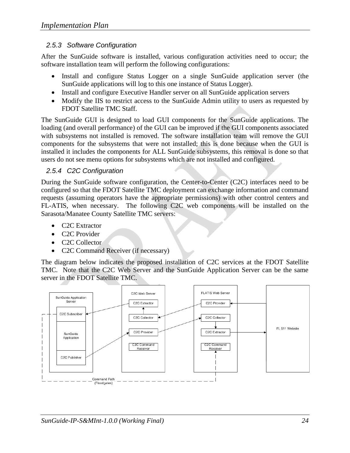## <span id="page-28-0"></span>*2.5.3 Software Configuration*

After the SunGuide software is installed, various configuration activities need to occur; the software installation team will perform the following configurations:

- Install and configure Status Logger on a single SunGuide application server (the SunGuide applications will log to this one instance of Status Logger).
- Install and configure Executive Handler server on all SunGuide application servers
- Modify the IIS to restrict access to the SunGuide Admin utility to users as requested by FDOT Satellite TMC Staff.

The SunGuide GUI is designed to load GUI components for the SunGuide applications. The loading (and overall performance) of the GUI can be improved if the GUI components associated with subsystems not installed is removed. The software installation team will remove the GUI components for the subsystems that were not installed; this is done because when the GUI is installed it includes the components for ALL SunGuide subsystems, this removal is done so that users do not see menu options for subsystems which are not installed and configured.

## <span id="page-28-1"></span>*2.5.4 C2C Configuration*

During the SunGuide software configuration, the Center-to-Center (C2C) interfaces need to be configured so that the FDOT Satellite TMC deployment can exchange information and command requests (assuming operators have the appropriate permissions) with other control centers and FL-ATIS, when necessary. The following C2C web components will be installed on the Sarasota/Manatee County Satellite TMC servers:

- C2C Extractor
- C<sub>2</sub>C Provider
- C<sub>2</sub>C Collector
- C2C Command Receiver (if necessary)

The diagram below indicates the proposed installation of C2C services at the FDOT Satellite TMC. Note that the C2C Web Server and the SunGuide Application Server can be the same server in the FDOT Satellite TMC.

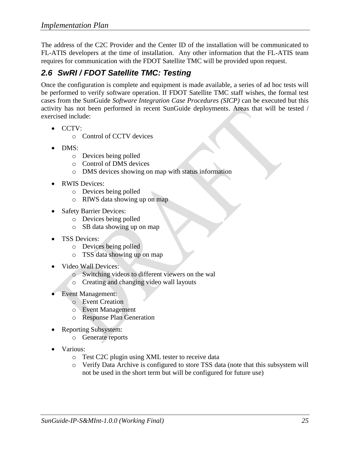The address of the C2C Provider and the Center ID of the installation will be communicated to FL-ATIS developers at the time of installation. Any other information that the FL-ATIS team requires for communication with the FDOT Satellite TMC will be provided upon request.

# <span id="page-29-0"></span>*2.6 SwRI / FDOT Satellite TMC: Testing*

Once the configuration is complete and equipment is made available, a series of ad hoc tests will be performed to verify software operation. If FDOT Satellite TMC staff wishes, the formal test cases from the SunGuide *Software Integration Case Procedures (SICP)* can be executed but this activity has not been performed in recent SunGuide deployments. Areas that will be tested / exercised include:

- $\bullet$  CCTV:
	- o Control of CCTV devices
- DMS:
	- o Devices being polled
	- o Control of DMS devices
	- o DMS devices showing on map with status information
- RWIS Devices:
	- o Devices being polled
	- o RIWS data showing up on map
- Safety Barrier Devices:
	- o Devices being polled
	- o SB data showing up on map
- TSS Devices:
	- o Devices being polled
	- o TSS data showing up on map
- Video Wall Devices:
	- o Switching videos to different viewers on the wal
	- o Creating and changing video wall layouts
- Event Management:
	- o Event Creation
	- o Event Management
	- o Response Plan Generation
- Reporting Subsystem:
	- o Generate reports
- Various:
	- o Test C2C plugin using XML tester to receive data
	- o Verify Data Archive is configured to store TSS data (note that this subsystem will not be used in the short term but will be configured for future use)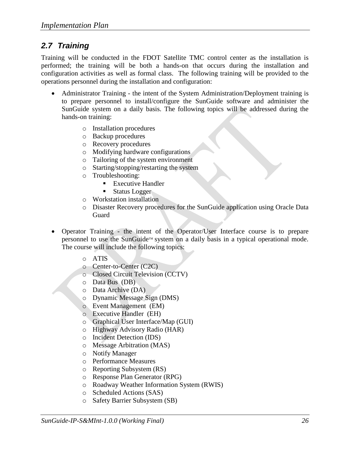# <span id="page-30-0"></span>*2.7 Training*

Training will be conducted in the FDOT Satellite TMC control center as the installation is performed; the training will be both a hands-on that occurs during the installation and configuration activities as well as formal class. The following training will be provided to the operations personnel during the installation and configuration:

- Administrator Training the intent of the System Administration/Deployment training is to prepare personnel to install/configure the SunGuide software and administer the SunGuide system on a daily basis. The following topics will be addressed during the hands-on training:
	- o Installation procedures
	- o Backup procedures
	- o Recovery procedures
	- o Modifying hardware configurations
	- o Tailoring of the system environment
	- o Starting/stopping/restarting the system
	- o Troubleshooting:
		- Executive Handler
		- **Status Logger**
	- o Workstation installation
	- o Disaster Recovery procedures for the SunGuide application using Oracle Data Guard
- Operator Training the intent of the Operator/User Interface course is to prepare personnel to use the SunGuide™ system on a daily basis in a typical operational mode. The course will include the following topics:
	- o ATIS
	- o Center-to-Center (C2C)
	- o Closed Circuit Television (CCTV)
	- o Data Bus (DB)
	- o Data Archive (DA)
	- o Dynamic Message Sign (DMS)
	- o Event Management (EM)
	- o Executive Handler (EH)
	- o Graphical User Interface/Map (GUI)
	- o Highway Advisory Radio (HAR)
	- o Incident Detection (IDS)
	- o Message Arbitration (MAS)
	- o Notify Manager
	- o Performance Measures
	- o Reporting Subsystem (RS)
	- o Response Plan Generator (RPG)
	- o Roadway Weather Information System (RWIS)
	- o Scheduled Actions (SAS)
	- o Safety Barrier Subsystem (SB)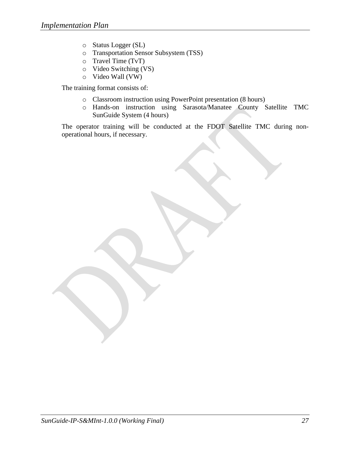- o Status Logger (SL)
- o Transportation Sensor Subsystem (TSS)
- o Travel Time (TvT)
- o Video Switching (VS)
- o Video Wall (VW)

The training format consists of:

- o Classroom instruction using PowerPoint presentation (8 hours)
- o Hands-on instruction using Sarasota/Manatee County Satellite TMC SunGuide System (4 hours)

The operator training will be conducted at the FDOT Satellite TMC during nonoperational hours, if necessary.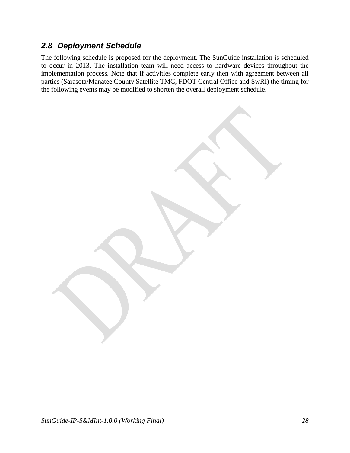# <span id="page-32-0"></span>*2.8 Deployment Schedule*

The following schedule is proposed for the deployment. The SunGuide installation is scheduled to occur in 2013. The installation team will need access to hardware devices throughout the implementation process. Note that if activities complete early then with agreement between all parties (Sarasota/Manatee County Satellite TMC, FDOT Central Office and SwRI) the timing for the following events may be modified to shorten the overall deployment schedule.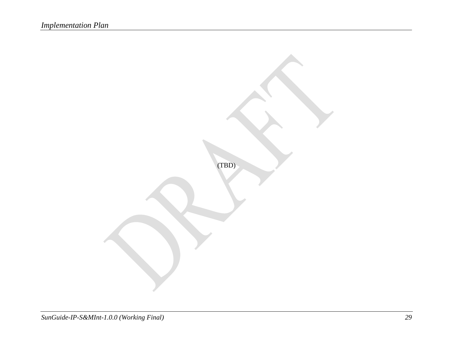(TBD)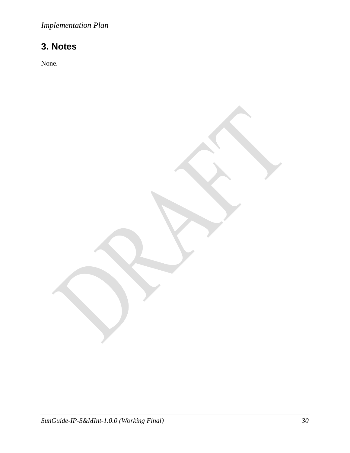# <span id="page-34-0"></span>**3. Notes**

None.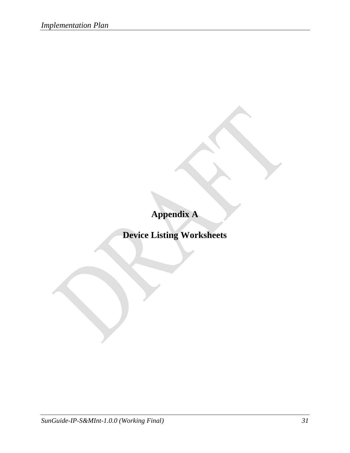**Appendix A**

**Device Listing Worksheets**